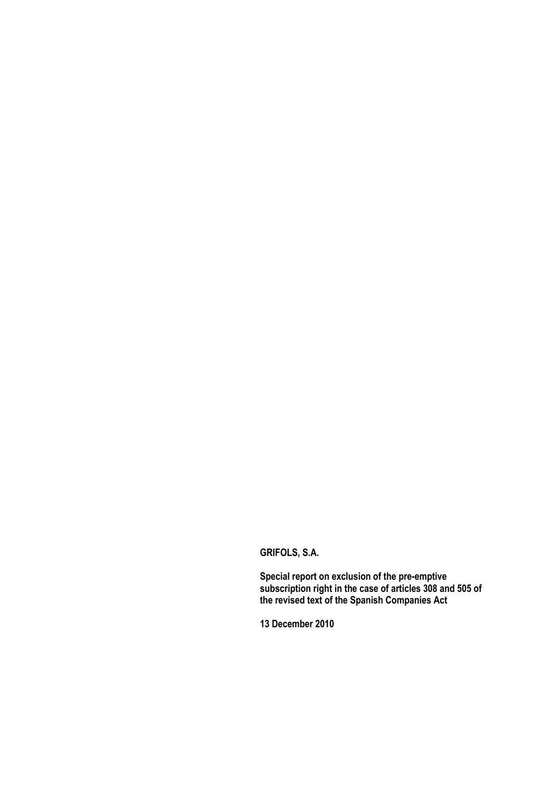## **GRIFOLS, S.A.**

**Special report on exclusion of the pre-emptive subscription right in the case of articles 308 and 505 of the revised text of the Spanish Companies Act**

**13 December 2010**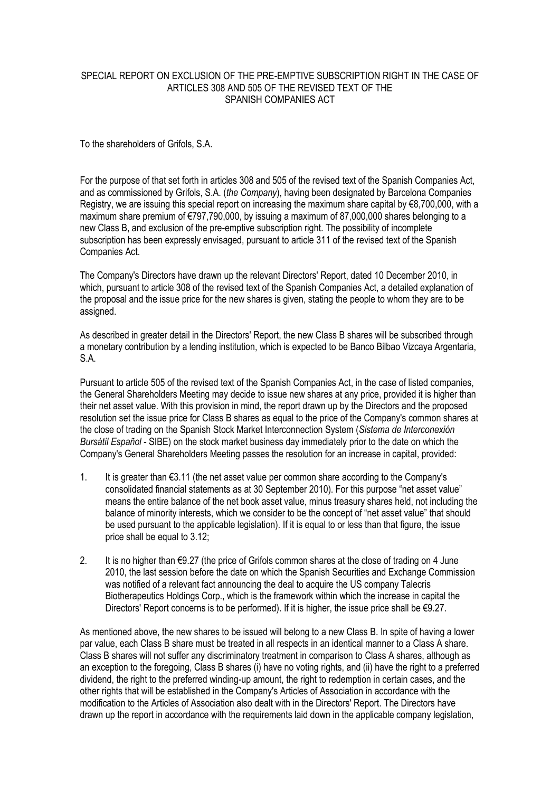## SPECIAL REPORT ON EXCLUSION OF THE PRE-EMPTIVE SUBSCRIPTION RIGHT IN THE CASE OF ARTICLES 308 AND 505 OF THE REVISED TEXT OF THE SPANISH COMPANIES ACT

To the shareholders of Grifols, S.A.

For the purpose of that set forth in articles 308 and 505 of the revised text of the Spanish Companies Act, and as commissioned by Grifols, S.A. (*the Company*), having been designated by Barcelona Companies Registry, we are issuing this special report on increasing the maximum share capital by €8,700,000, with a maximum share premium of €797,790,000, by issuing a maximum of 87,000,000 shares belonging to a new Class B, and exclusion of the pre-emptive subscription right. The possibility of incomplete subscription has been expressly envisaged, pursuant to article 311 of the revised text of the Spanish Companies Act.

The Company's Directors have drawn up the relevant Directors' Report, dated 10 December 2010, in which, pursuant to article 308 of the revised text of the Spanish Companies Act, a detailed explanation of the proposal and the issue price for the new shares is given, stating the people to whom they are to be assigned.

As described in greater detail in the Directors' Report, the new Class B shares will be subscribed through a monetary contribution by a lending institution, which is expected to be Banco Bilbao Vizcaya Argentaria, S.A.

Pursuant to article 505 of the revised text of the Spanish Companies Act, in the case of listed companies, the General Shareholders Meeting may decide to issue new shares at any price, provided it is higher than their net asset value. With this provision in mind, the report drawn up by the Directors and the proposed resolution set the issue price for Class B shares as equal to the price of the Company's common shares at the close of trading on the Spanish Stock Market Interconnection System (*Sistema de Interconexión Bursátil Español* - SIBE) on the stock market business day immediately prior to the date on which the Company's General Shareholders Meeting passes the resolution for an increase in capital, provided:

- 1. It is greater than €3.11 (the net asset value per common share according to the Company's consolidated financial statements as at 30 September 2010). For this purpose "net asset value" means the entire balance of the net book asset value, minus treasury shares held, not including the balance of minority interests, which we consider to be the concept of "net asset value" that should be used pursuant to the applicable legislation). If it is equal to or less than that figure, the issue price shall be equal to 3.12;
- 2. It is no higher than €9.27 (the price of Grifols common shares at the close of trading on 4 June 2010, the last session before the date on which the Spanish Securities and Exchange Commission was notified of a relevant fact announcing the deal to acquire the US company Talecris Biotherapeutics Holdings Corp., which is the framework within which the increase in capital the Directors' Report concerns is to be performed). If it is higher, the issue price shall be  $\epsilon$ 9.27.

As mentioned above, the new shares to be issued will belong to a new Class B. In spite of having a lower par value, each Class B share must be treated in all respects in an identical manner to a Class A share. Class B shares will not suffer any discriminatory treatment in comparison to Class A shares, although as an exception to the foregoing, Class B shares (i) have no voting rights, and (ii) have the right to a preferred dividend, the right to the preferred winding-up amount, the right to redemption in certain cases, and the other rights that will be established in the Company's Articles of Association in accordance with the modification to the Articles of Association also dealt with in the Directors' Report. The Directors have drawn up the report in accordance with the requirements laid down in the applicable company legislation,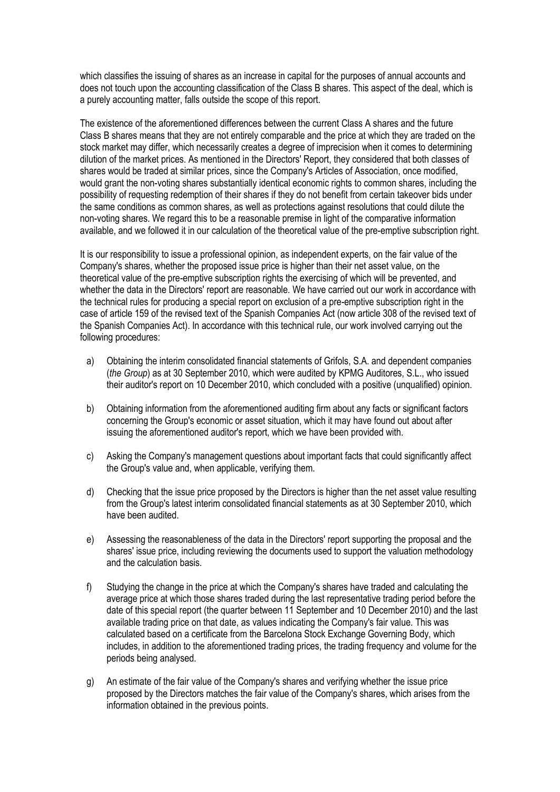which classifies the issuing of shares as an increase in capital for the purposes of annual accounts and does not touch upon the accounting classification of the Class B shares. This aspect of the deal, which is a purely accounting matter, falls outside the scope of this report.

The existence of the aforementioned differences between the current Class A shares and the future Class B shares means that they are not entirely comparable and the price at which they are traded on the stock market may differ, which necessarily creates a degree of imprecision when it comes to determining dilution of the market prices. As mentioned in the Directors' Report, they considered that both classes of shares would be traded at similar prices, since the Company's Articles of Association, once modified, would grant the non-voting shares substantially identical economic rights to common shares, including the possibility of requesting redemption of their shares if they do not benefit from certain takeover bids under the same conditions as common shares, as well as protections against resolutions that could dilute the non-voting shares. We regard this to be a reasonable premise in light of the comparative information available, and we followed it in our calculation of the theoretical value of the pre-emptive subscription right.

It is our responsibility to issue a professional opinion, as independent experts, on the fair value of the Company's shares, whether the proposed issue price is higher than their net asset value, on the theoretical value of the pre-emptive subscription rights the exercising of which will be prevented, and whether the data in the Directors' report are reasonable. We have carried out our work in accordance with the technical rules for producing a special report on exclusion of a pre-emptive subscription right in the case of article 159 of the revised text of the Spanish Companies Act (now article 308 of the revised text of the Spanish Companies Act). In accordance with this technical rule, our work involved carrying out the following procedures:

- a) Obtaining the interim consolidated financial statements of Grifols, S.A. and dependent companies (*the Group*) as at 30 September 2010, which were audited by KPMG Auditores, S.L., who issued their auditor's report on 10 December 2010, which concluded with a positive (unqualified) opinion.
- b) Obtaining information from the aforementioned auditing firm about any facts or significant factors concerning the Group's economic or asset situation, which it may have found out about after issuing the aforementioned auditor's report, which we have been provided with.
- c) Asking the Company's management questions about important facts that could significantly affect the Group's value and, when applicable, verifying them.
- d) Checking that the issue price proposed by the Directors is higher than the net asset value resulting from the Group's latest interim consolidated financial statements as at 30 September 2010, which have been audited.
- e) Assessing the reasonableness of the data in the Directors' report supporting the proposal and the shares' issue price, including reviewing the documents used to support the valuation methodology and the calculation basis.
- f) Studying the change in the price at which the Company's shares have traded and calculating the average price at which those shares traded during the last representative trading period before the date of this special report (the quarter between 11 September and 10 December 2010) and the last available trading price on that date, as values indicating the Company's fair value. This was calculated based on a certificate from the Barcelona Stock Exchange Governing Body, which includes, in addition to the aforementioned trading prices, the trading frequency and volume for the periods being analysed.
- g) An estimate of the fair value of the Company's shares and verifying whether the issue price proposed by the Directors matches the fair value of the Company's shares, which arises from the information obtained in the previous points.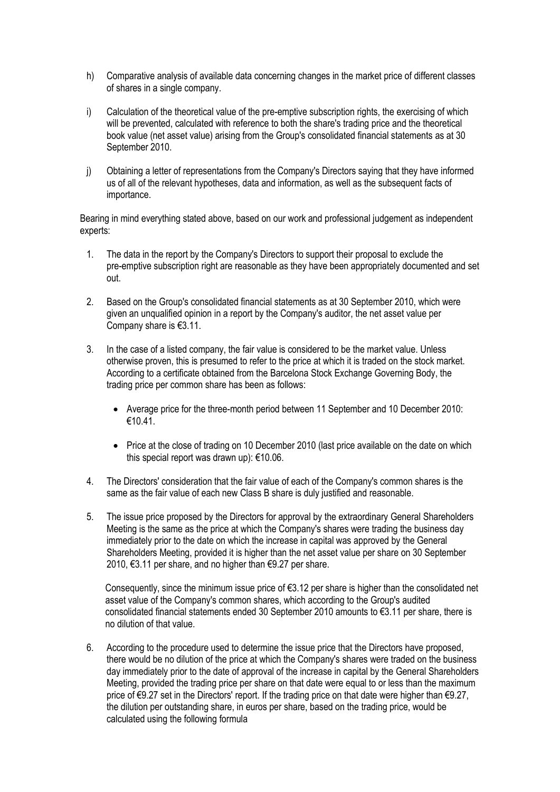- h) Comparative analysis of available data concerning changes in the market price of different classes of shares in a single company.
- i) Calculation of the theoretical value of the pre-emptive subscription rights, the exercising of which will be prevented, calculated with reference to both the share's trading price and the theoretical book value (net asset value) arising from the Group's consolidated financial statements as at 30 September 2010.
- j) Obtaining a letter of representations from the Company's Directors saying that they have informed us of all of the relevant hypotheses, data and information, as well as the subsequent facts of importance.

Bearing in mind everything stated above, based on our work and professional judgement as independent experts:

- 1. The data in the report by the Company's Directors to support their proposal to exclude the pre-emptive subscription right are reasonable as they have been appropriately documented and set out.
- 2. Based on the Group's consolidated financial statements as at 30 September 2010, which were given an unqualified opinion in a report by the Company's auditor, the net asset value per Company share is €3.11.
- 3. In the case of a listed company, the fair value is considered to be the market value. Unless otherwise proven, this is presumed to refer to the price at which it is traded on the stock market. According to a certificate obtained from the Barcelona Stock Exchange Governing Body, the trading price per common share has been as follows:
	- Average price for the three-month period between 11 September and 10 December 2010: €10.41.
	- Price at the close of trading on 10 December 2010 (last price available on the date on which this special report was drawn up): €10.06.
- 4. The Directors' consideration that the fair value of each of the Company's common shares is the same as the fair value of each new Class B share is duly justified and reasonable.
- 5. The issue price proposed by the Directors for approval by the extraordinary General Shareholders Meeting is the same as the price at which the Company's shares were trading the business day immediately prior to the date on which the increase in capital was approved by the General Shareholders Meeting, provided it is higher than the net asset value per share on 30 September 2010, €3.11 per share, and no higher than €9.27 per share.

Consequently, since the minimum issue price of  $63.12$  per share is higher than the consolidated net asset value of the Company's common shares, which according to the Group's audited consolidated financial statements ended 30 September 2010 amounts to €3.11 per share, there is no dilution of that value.

6. According to the procedure used to determine the issue price that the Directors have proposed, there would be no dilution of the price at which the Company's shares were traded on the business day immediately prior to the date of approval of the increase in capital by the General Shareholders Meeting, provided the trading price per share on that date were equal to or less than the maximum price of €9.27 set in the Directors' report. If the trading price on that date were higher than €9.27, the dilution per outstanding share, in euros per share, based on the trading price, would be calculated using the following formula